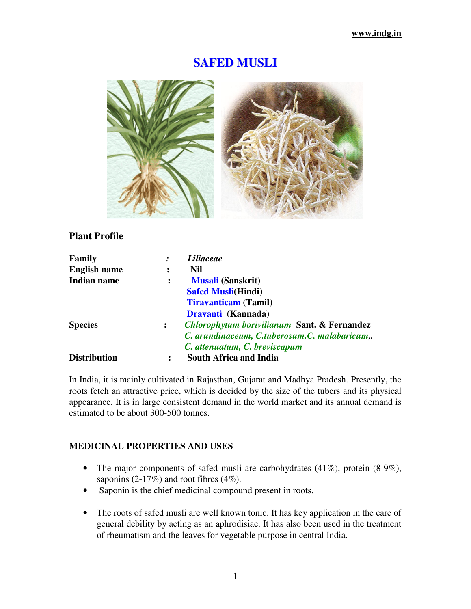# **SAFED MUSLI**



# **Plant Profile**

| Family              |                | <i>Liliaceae</i>                                       |  |
|---------------------|----------------|--------------------------------------------------------|--|
| <b>English name</b> |                | Nil                                                    |  |
| Indian name         | $\ddot{\cdot}$ | <b>Musali (Sanskrit)</b>                               |  |
|                     |                | <b>Safed Musli(Hindi)</b>                              |  |
|                     |                | <b>Tiravanticam</b> (Tamil)                            |  |
|                     |                | Dravanti (Kannada)                                     |  |
| <b>Species</b>      | $\ddot{\cdot}$ | <b>Chlorophytum borivilianum Sant. &amp; Fernandez</b> |  |
|                     |                | C. arundinaceum, C.tuberosum.C. malabaricum,.          |  |
|                     |                | C. attenuatum, C. breviscapum                          |  |
| <b>Distribution</b> | ፡              | <b>South Africa and India</b>                          |  |

In India, it is mainly cultivated in Rajasthan, Gujarat and Madhya Pradesh. Presently, the roots fetch an attractive price, which is decided by the size of the tubers and its physical appearance. It is in large consistent demand in the world market and its annual demand is estimated to be about 300-500 tonnes.

## **MEDICINAL PROPERTIES AND USES**

- The major components of safed musli are carbohydrates (41%), protein (8-9%), saponins (2-17%) and root fibres (4%).
- Saponin is the chief medicinal compound present in roots.
- The roots of safed musli are well known tonic. It has key application in the care of general debility by acting as an aphrodisiac. It has also been used in the treatment of rheumatism and the leaves for vegetable purpose in central India.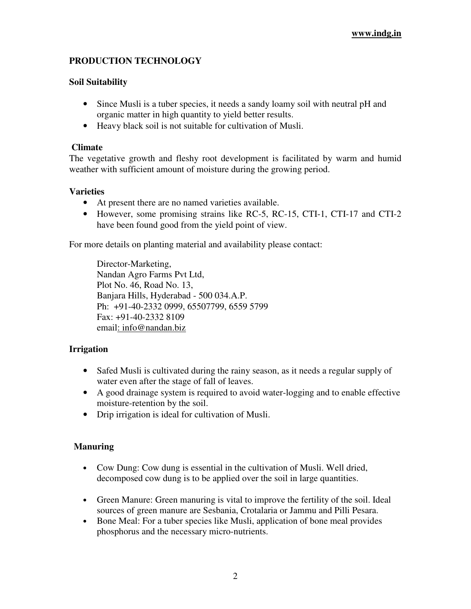## **PRODUCTION TECHNOLOGY**

## **Soil Suitability**

- Since Musli is a tuber species, it needs a sandy loamy soil with neutral pH and organic matter in high quantity to yield better results.
- Heavy black soil is not suitable for cultivation of Musli.

#### **Climate**

The vegetative growth and fleshy root development is facilitated by warm and humid weather with sufficient amount of moisture during the growing period.

## **Varieties**

- At present there are no named varieties available.
- However, some promising strains like RC-5, RC-15, CTI-1, CTI-17 and CTI-2 have been found good from the yield point of view.

For more details on planting material and availability please contact:

Director-Marketing, Nandan Agro Farms Pvt Ltd, Plot No. 46, Road No. 13, Banjara Hills, Hyderabad - 500 034.A.P. Ph: +91-40-2332 0999, 65507799, 6559 5799 Fax: +91-40-2332 8109 email: info@nandan.biz

## **Irrigation**

- Safed Musli is cultivated during the rainy season, as it needs a regular supply of water even after the stage of fall of leaves.
- A good drainage system is required to avoid water-logging and to enable effective moisture-retention by the soil.
- Drip irrigation is ideal for cultivation of Musli.

## **Manuring**

- Cow Dung: Cow dung is essential in the cultivation of Musli. Well dried, decomposed cow dung is to be applied over the soil in large quantities.
- Green Manure: Green manuring is vital to improve the fertility of the soil. Ideal sources of green manure are Sesbania, Crotalaria or Jammu and Pilli Pesara.
- Bone Meal: For a tuber species like Musli, application of bone meal provides phosphorus and the necessary micro-nutrients.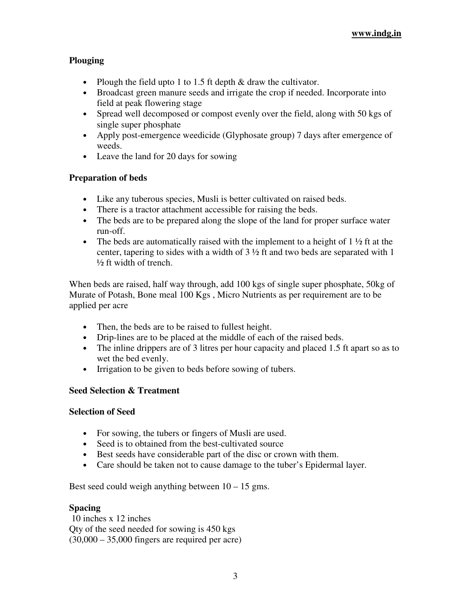# **Plouging**

- Plough the field upto 1 to 1.5 ft depth & draw the cultivator.
- Broadcast green manure seeds and irrigate the crop if needed. Incorporate into field at peak flowering stage
- Spread well decomposed or compost evenly over the field, along with 50 kgs of single super phosphate
- Apply post-emergence weedicide (Glyphosate group) 7 days after emergence of weeds.
- Leave the land for 20 days for sowing

# **Preparation of beds**

- Like any tuberous species, Musli is better cultivated on raised beds.
- There is a tractor attachment accessible for raising the beds.
- The beds are to be prepared along the slope of the land for proper surface water run-off.
- The beds are automatically raised with the implement to a height of  $1\frac{1}{2}$  ft at the center, tapering to sides with a width of 3 ½ ft and two beds are separated with 1 ½ ft width of trench.

When beds are raised, half way through, add 100 kgs of single super phosphate, 50kg of Murate of Potash, Bone meal 100 Kgs , Micro Nutrients as per requirement are to be applied per acre

- Then, the beds are to be raised to fullest height.
- Drip-lines are to be placed at the middle of each of the raised beds.
- The inline drippers are of 3 litres per hour capacity and placed 1.5 ft apart so as to wet the bed evenly.
- Irrigation to be given to beds before sowing of tubers.

# **Seed Selection & Treatment**

## **Selection of Seed**

- For sowing, the tubers or fingers of Musli are used.
- Seed is to obtained from the best-cultivated source
- Best seeds have considerable part of the disc or crown with them.
- Care should be taken not to cause damage to the tuber's Epidermal layer.

Best seed could weigh anything between  $10 - 15$  gms.

## **Spacing**

 10 inches x 12 inches Qty of the seed needed for sowing is 450 kgs  $(30,000 - 35,000$  fingers are required per acre)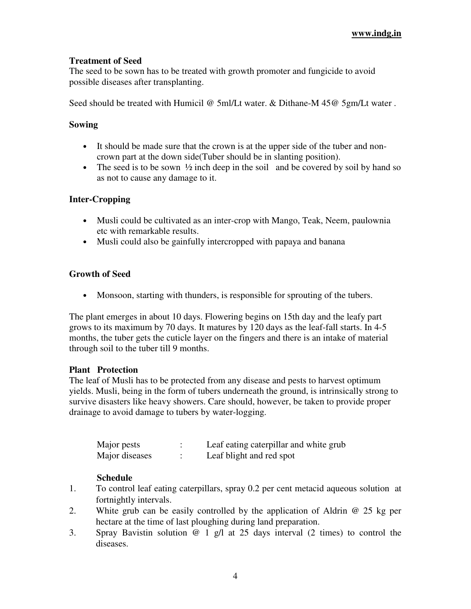## **Treatment of Seed**

The seed to be sown has to be treated with growth promoter and fungicide to avoid possible diseases after transplanting.

Seed should be treated with Humicil @ 5ml/Lt water. & Dithane-M 45@ 5gm/Lt water .

## **Sowing**

- It should be made sure that the crown is at the upper side of the tuber and noncrown part at the down side(Tuber should be in slanting position).
- The seed is to be sown  $\frac{1}{2}$  inch deep in the soil and be covered by soil by hand so as not to cause any damage to it.

## **Inter-Cropping**

- Musli could be cultivated as an inter-crop with Mango, Teak, Neem, paulownia etc with remarkable results.
- Musli could also be gainfully intercropped with papaya and banana

## **Growth of Seed**

• Monsoon, starting with thunders, is responsible for sprouting of the tubers.

The plant emerges in about 10 days. Flowering begins on 15th day and the leafy part grows to its maximum by 70 days. It matures by 120 days as the leaf-fall starts. In 4-5 months, the tuber gets the cuticle layer on the fingers and there is an intake of material through soil to the tuber till 9 months.

#### **Plant Protection**

The leaf of Musli has to be protected from any disease and pests to harvest optimum yields. Musli, being in the form of tubers underneath the ground, is intrinsically strong to survive disasters like heavy showers. Care should, however, be taken to provide proper drainage to avoid damage to tubers by water-logging.

| Major pests    | Leaf eating caterpillar and white grub |
|----------------|----------------------------------------|
| Major diseases | Leaf blight and red spot               |

#### **Schedule**

- 1. To control leaf eating caterpillars, spray 0.2 per cent metacid aqueous solution at fortnightly intervals.
- 2. White grub can be easily controlled by the application of Aldrin @ 25 kg per hectare at the time of last ploughing during land preparation.
- 3. Spray Bavistin solution @ 1 g/l at 25 days interval (2 times) to control the diseases.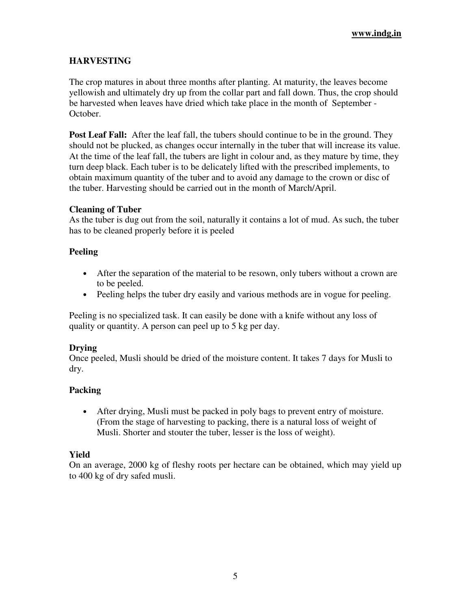# **HARVESTING**

The crop matures in about three months after planting. At maturity, the leaves become yellowish and ultimately dry up from the collar part and fall down. Thus, the crop should be harvested when leaves have dried which take place in the month of September - October.

**Post Leaf Fall:** After the leaf fall, the tubers should continue to be in the ground. They should not be plucked, as changes occur internally in the tuber that will increase its value. At the time of the leaf fall, the tubers are light in colour and, as they mature by time, they turn deep black. Each tuber is to be delicately lifted with the prescribed implements, to obtain maximum quantity of the tuber and to avoid any damage to the crown or disc of the tuber. Harvesting should be carried out in the month of March/April.

#### **Cleaning of Tuber**

As the tuber is dug out from the soil, naturally it contains a lot of mud. As such, the tuber has to be cleaned properly before it is peeled

## **Peeling**

- After the separation of the material to be resown, only tubers without a crown are to be peeled.
- Peeling helps the tuber dry easily and various methods are in vogue for peeling.

Peeling is no specialized task. It can easily be done with a knife without any loss of quality or quantity. A person can peel up to 5 kg per day.

#### **Drying**

Once peeled, Musli should be dried of the moisture content. It takes 7 days for Musli to dry.

## **Packing**

• After drying, Musli must be packed in poly bags to prevent entry of moisture. (From the stage of harvesting to packing, there is a natural loss of weight of Musli. Shorter and stouter the tuber, lesser is the loss of weight).

## **Yield**

On an average, 2000 kg of fleshy roots per hectare can be obtained, which may yield up to 400 kg of dry safed musli.